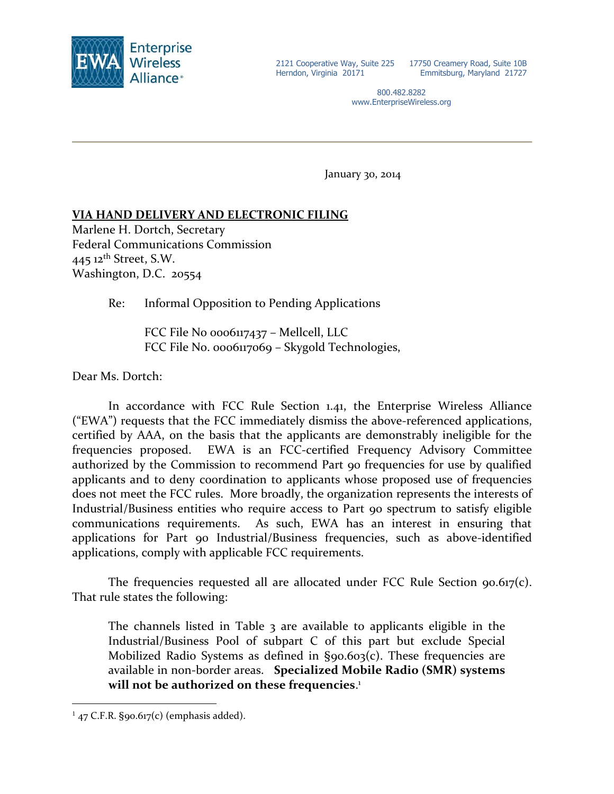

17750 Creamery Road, Suite 10B Emmitsburg, Maryland 21727

800.482.8282 www.EnterpriseWireless.org

January 30, 2014

# **VIA HAND DELIVERY AND ELECTRONIC FILING**

Marlene H. Dortch, Secretary Federal Communications Commission  $445$  12<sup>th</sup> Street, S.W. Washington, D.C. 20554

Re: Informal Opposition to Pending Applications

FCC File No 0006117437 – Mellcell, LLC FCC File No. 0006117069 – Skygold Technologies,

Dear Ms. Dortch:

In accordance with FCC Rule Section 1.41, the Enterprise Wireless Alliance ("EWA") requests that the FCC immediately dismiss the above-referenced applications, certified by AAA, on the basis that the applicants are demonstrably ineligible for the frequencies proposed. EWA is an FCC-certified Frequency Advisory Committee authorized by the Commission to recommend Part 90 frequencies for use by qualified applicants and to deny coordination to applicants whose proposed use of frequencies does not meet the FCC rules. More broadly, the organization represents the interests of Industrial/Business entities who require access to Part 90 spectrum to satisfy eligible communications requirements. As such, EWA has an interest in ensuring that applications for Part 90 Industrial/Business frequencies, such as above-identified applications, comply with applicable FCC requirements.

The frequencies requested all are allocated under FCC Rule Section 90.617(c). That rule states the following:

The channels listed in Table 3 are available to applicants eligible in the Industrial/Business Pool of [subpart C](http://telecomlaw.bna.com/terc/display/link_res.adp?fedfid=18137003&fname=cfr_47_90_spc&vname=comrgeref100) of this part but exclude Special Mobilized Radio Systems as defined in [§90.603\(c\).](http://telecomlaw.bna.com/terc/display/link_res.adp?fedfid=18137003&fname=cfr_47_90_603_c_&vname=comrgeref100) These frequencies are available in non-border areas. **Specialized Mobile Radio (SMR) systems will not be authorized on these frequencies**. 1

 $\overline{a}$ 

 $^{1}$  47 C.F.R. §90.617(c) (emphasis added).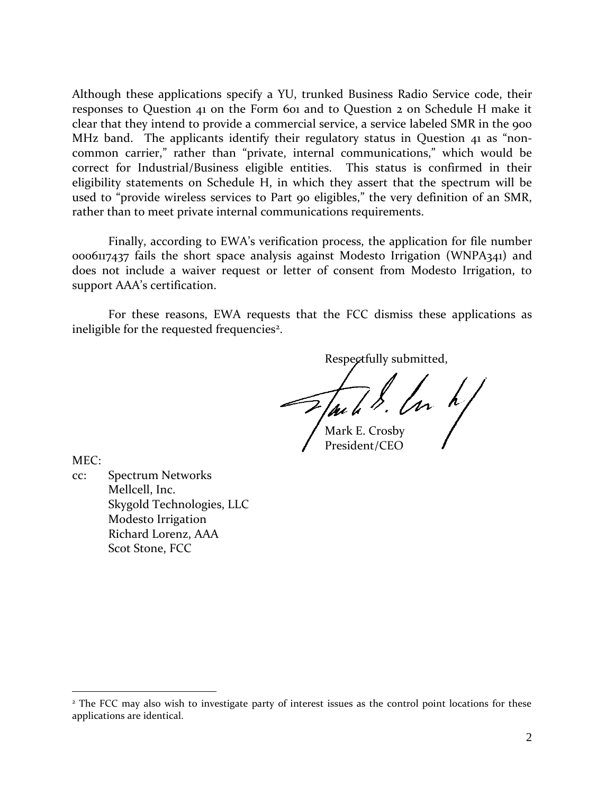Although these applications specify a YU, trunked Business Radio Service code, their responses to Question 41 on the Form 601 and to Question 2 on Schedule H make it clear that they intend to provide a commercial service, a service labeled SMR in the 900 MHz band. The applicants identify their regulatory status in Question 41 as "noncommon carrier," rather than "private, internal communications," which would be correct for Industrial/Business eligible entities. This status is confirmed in their eligibility statements on Schedule H, in which they assert that the spectrum will be used to "provide wireless services to Part 90 eligibles," the very definition of an SMR, rather than to meet private internal communications requirements.

Finally, according to EWA's verification process, the application for file number 0006117437 fails the short space analysis against Modesto Irrigation (WNPA341) and does not include a waiver request or letter of consent from Modesto Irrigation, to support AAA's certification.

For these reasons, EWA requests that the FCC dismiss these applications as ineligible for the requested frequencies<sup>2</sup>.

Respectfully submitted,

 $\mathcal{F}_{\mathcal{A}}$  and  $\mathcal{F}_{\mathcal{A}}$  and  $\mathcal{F}_{\mathcal{A}}$ 

President/CEO

MEC:

 $\overline{a}$ 

cc: Spectrum Networks Mellcell, Inc. Skygold Technologies, LLC Modesto Irrigation Richard Lorenz, AAA Scot Stone, FCC

<sup>&</sup>lt;sup>2</sup> The FCC may also wish to investigate party of interest issues as the control point locations for these applications are identical.